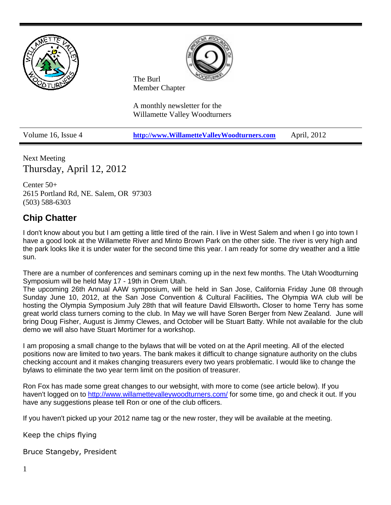

Next Meeting Thursday, April 12, 2012

Center 50+ 2615 Portland Rd, NE. Salem, OR 97303 (503) 588-6303

## **Chip Chatter**

I don't know about you but I am getting a little tired of the rain. I live in West Salem and when I go into town I have a good look at the Willamette River and Minto Brown Park on the other side. The river is very high and the park looks like it is under water for the second time this year. I am ready for some dry weather and a little sun.

There are a number of conferences and seminars coming up in the next few months. The Utah Woodturning Symposium will be held May 17 - 19th in Orem Utah.

The upcoming 26th Annual AAW symposium, will be held in San Jose, California Friday June 08 through Sunday June 10, 2012, at the San Jose Convention & Cultural Facilities**.** The Olympia WA club will be hosting the Olympia Symposium July 28th that will feature David Ellsworth**.** Closer to home Terry has some great world class turners coming to the club. In May we will have Soren Berger from New Zealand. June will bring Doug Fisher, August is Jimmy Clewes, and October will be Stuart Batty. While not available for the club demo we will also have Stuart Mortimer for a workshop.

I am proposing a small change to the bylaws that will be voted on at the April meeting. All of the elected positions now are limited to two years. The bank makes it difficult to change signature authority on the clubs checking account and it makes changing treasurers every two years problematic. I would like to change the bylaws to eliminate the two year term limit on the position of treasurer.

Ron Fox has made some great changes to our websight, with more to come (see article below). If you haven't logged on to <http://www.willamettevalleywoodturners.com/> for some time, go and check it out. If you have any suggestions please tell Ron or one of the club officers.

If you haven't picked up your 2012 name tag or the new roster, they will be available at the meeting.

Keep the chips flying

Bruce Stangeby, President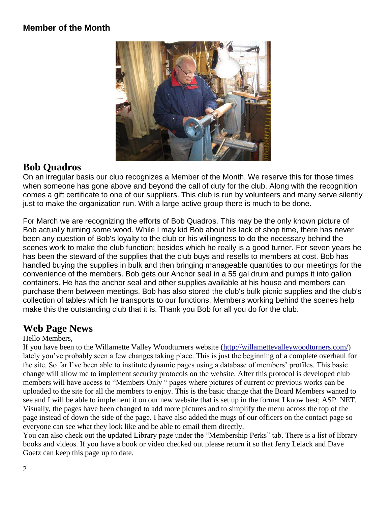### **Member of the Month**



## **Bob Quadros**

On an irregular basis our club recognizes a Member of the Month. We reserve this for those times when someone has gone above and beyond the call of duty for the club. Along with the recognition comes a gift certificate to one of our suppliers. This club is run by volunteers and many serve silently just to make the organization run. With a large active group there is much to be done.

For March we are recognizing the efforts of Bob Quadros. This may be the only known picture of Bob actually turning some wood. While I may kid Bob about his lack of shop time, there has never been any question of Bob's loyalty to the club or his willingness to do the necessary behind the scenes work to make the club function; besides which he really is a good turner. For seven years he has been the steward of the supplies that the club buys and resells to members at cost. Bob has handled buying the supplies in bulk and then bringing manageable quantities to our meetings for the convenience of the members. Bob gets our Anchor seal in a 55 gal drum and pumps it into gallon containers. He has the anchor seal and other supplies available at his house and members can purchase them between meetings. Bob has also stored the club's bulk picnic supplies and the club's collection of tables which he transports to our functions. Members working behind the scenes help make this the outstanding club that it is. Thank you Bob for all you do for the club.

## **Web Page News**

Hello Members,

If you have been to the Willamette Valley Woodturners website [\(http://willamettevalleywoodturners.com/\)](http://willamettevalleywoodturners.com/) lately you've probably seen a few changes taking place. This is just the beginning of a complete overhaul for the site. So far I've been able to institute dynamic pages using a database of members' profiles. This basic change will allow me to implement security protocols on the website. After this protocol is developed club members will have access to "Members Only " pages where pictures of current or previous works can be uploaded to the site for all the members to enjoy. This is the basic change that the Board Members wanted to see and I will be able to implement it on our new website that is set up in the format I know best; ASP. NET. Visually, the pages have been changed to add more pictures and to simplify the menu across the top of the page instead of down the side of the page. I have also added the mugs of our officers on the contact page so everyone can see what they look like and be able to email them directly.

You can also check out the updated Library page under the "Membership Perks" tab. There is a list of library books and videos. If you have a book or video checked out please return it so that Jerry Lelack and Dave Goetz can keep this page up to date.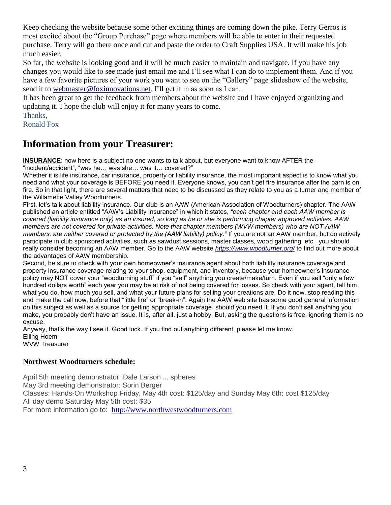Keep checking the website because some other exciting things are coming down the pike. Terry Gerros is most excited about the "Group Purchase" page where members will be able to enter in their requested purchase. Terry will go there once and cut and paste the order to Craft Supplies USA. It will make his job much easier.

So far, the website is looking good and it will be much easier to maintain and navigate. If you have any changes you would like to see made just email me and I'll see what I can do to implement them. And if you have a few favorite pictures of your work you want to see on the "Gallery" page slideshow of the website, send it to [webmaster@foxinnovations.net.](mailto:webmaster@foxinnovations.net) I'll get it in as soon as I can.

It has been great to get the feedback from members about the website and I have enjoyed organizing and updating it. I hope the club will enjoy it for many years to come.

Thanks,

Ronald Fox

## **Information from your Treasurer:**

**INSURANCE**: now here is a subject no one wants to talk about, but everyone want to know AFTER the "incident/accident", "was he… was she… was it… covered?"

Whether it is life insurance, car insurance, property or liability insurance, the most important aspect is to know what you need and what your coverage is BEFORE you need it. Everyone knows, you can't get fire insurance after the barn is on fire. So in that light, there are several matters that need to be discussed as they relate to you as a turner and member of the Willamette Valley Woodturners.

First, let's talk about liability insurance. Our club is an AAW (American Association of Woodturners) chapter. The AAW published an article entitled "AAW's Liability Insurance" in which it states, *"each chapter and each AAW member is covered (liability insurance only) as an insured, so long as he or she is performing chapter approved activities. AAW members are not covered for private activities. Note that chapter members (WVW members) who are NOT AAW members, are neither covered or protected by the (AAW liability) policy."* If you are not an AAW member, but do actively participate in club sponsored activities, such as sawdust sessions, master classes, wood gathering, etc., you should really consider becoming an AAW member. Go to the AAW website *<https://www.woodturner.org/>* to find out more about the advantages of AAW membership.

Second, be sure to check with your own homeowner's insurance agent about both liability insurance coverage and property insurance coverage relating to your shop, equipment, and inventory, because your homeowner's insurance policy may NOT cover your "woodturning stuff" if you "sell" anything you create/make/turn. Even if you sell "only a few hundred dollars worth" each year you may be at risk of not being covered for losses. So check with your agent, tell him what you do, how much you sell, and what your future plans for selling your creations are. Do it now, stop reading this and make the call now, before that "little fire" or "break-in". Again the AAW web site has some good general information on this subject as well as a source for getting appropriate coverage, should you need it. If you don't sell anything you make, you probably don't have an issue. It is, after all, just a hobby. But, asking the questions is free, ignoring them is no excuse.

Anyway, that's the way I see it. Good luck. If you find out anything different, please let me know. Elling Hoem

WVW Treasurer

#### **Northwest Woodturners schedule:**

April 5th meeting demonstrator: Dale Larson ... spheres May 3rd meeting demonstrator: Sorin Berger Classes: Hands-On Workshop Friday, May 4th cost: \$125/day and Sunday May 6th: cost \$125/day All day demo Saturday May 5th cost: \$35 For more information go to: [http://www.northwestwoodturners.com](http://www.northwestwoodturners.com/)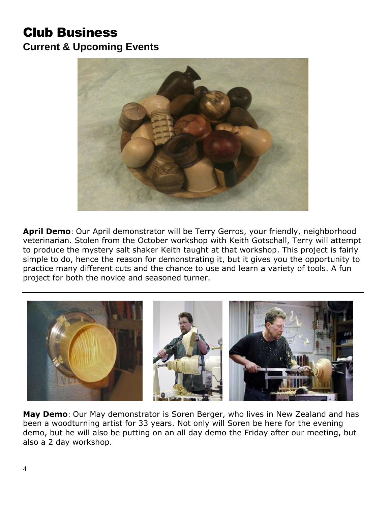# Club Business **Current & Upcoming Events**



**April Demo**: Our April demonstrator will be Terry Gerros, your friendly, neighborhood veterinarian. Stolen from the October workshop with Keith Gotschall, Terry will attempt to produce the mystery salt shaker Keith taught at that workshop. This project is fairly simple to do, hence the reason for demonstrating it, but it gives you the opportunity to practice many different cuts and the chance to use and learn a variety of tools. A fun project for both the novice and seasoned turner.



**May Demo**: Our May demonstrator is Soren Berger, who lives in New Zealand and has been a woodturning artist for 33 years. Not only will Soren be here for the evening demo, but he will also be putting on an all day demo the Friday after our meeting, but also a 2 day workshop.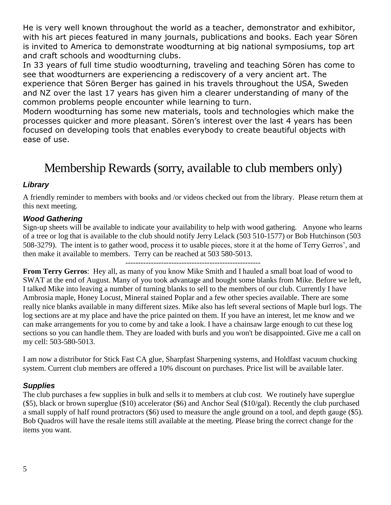He is very well known throughout the world as a teacher, demonstrator and exhibitor, with his art pieces featured in many journals, publications and books. Each year Sören is invited to America to demonstrate woodturning at big national symposiums, top art and craft schools and woodturning clubs.

In 33 years of full time studio woodturning, traveling and teaching Sören has come to see that woodturners are experiencing a rediscovery of a very ancient art. The experience that Sören Berger has gained in his travels throughout the USA, Sweden and NZ over the last 17 years has given him a clearer understanding of many of the common problems people encounter while learning to turn.

Modern woodturning has some new materials, tools and technologies which make the processes quicker and more pleasant. Sören's interest over the last 4 years has been focused on developing tools that enables everybody to create beautiful objects with ease of use.

# Membership Rewards (sorry, available to club members only)

### *Library*

A friendly reminder to members with books and /or videos checked out from the library. Please return them at this next meeting.

### *Wood Gathering*

Sign-up sheets will be available to indicate your availability to help with wood gathering. Anyone who learns of a tree or log that is available to the club should notify Jerry Lelack (503 510-1577) or Bob Hutchinson (503 508-3279). The intent is to gather wood, process it to usable pieces, store it at the home of Terry Gerros', and then make it available to members. Terry can be reached at 503 580-5013.

-----------------------------------------------------

**From Terry Gerros**: Hey all, as many of you know Mike Smith and I hauled a small boat load of wood to SWAT at the end of August. Many of you took advantage and bought some blanks from Mike. Before we left, I talked Mike into leaving a number of turning blanks to sell to the members of our club. Currently I have Ambrosia maple, Honey Locust, Mineral stained Poplar and a few other species available. There are some really nice blanks available in many different sizes. Mike also has left several sections of Maple burl logs. The log sections are at my place and have the price painted on them. If you have an interest, let me know and we can make arrangements for you to come by and take a look. I have a chainsaw large enough to cut these log sections so you can handle them. They are loaded with burls and you won't be disappointed. Give me a call on my cell: 503-580-5013.

I am now a distributor for Stick Fast CA glue, Sharpfast Sharpening systems, and Holdfast vacuum chucking system. Current club members are offered a 10% discount on purchases. Price list will be available later.

### *Supplies*

The club purchases a few supplies in bulk and sells it to members at club cost. We routinely have superglue (\$5), black or brown superglue (\$10) accelerator (\$6) and Anchor Seal (\$10/gal). Recently the club purchased a small supply of half round protractors (\$6) used to measure the angle ground on a tool, and depth gauge (\$5). Bob Quadros will have the resale items still available at the meeting. Please bring the correct change for the items you want.